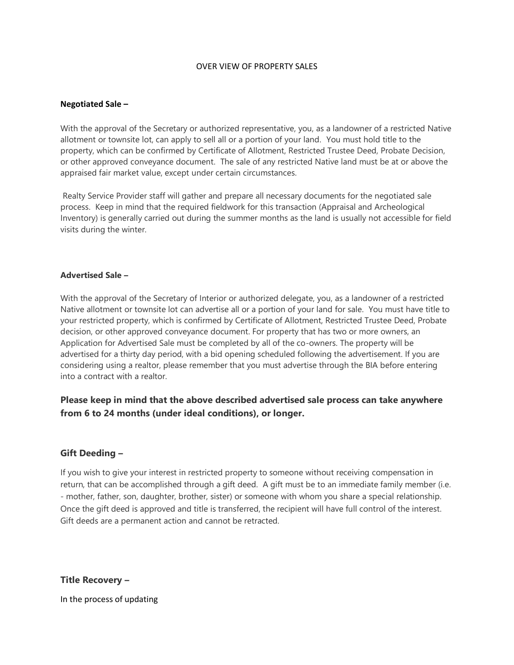#### OVER VIEW OF PROPERTY SALES

## **Negotiated Sale –**

With the approval of the Secretary or authorized representative, you, as a landowner of a restricted Native allotment or townsite lot, can apply to sell all or a portion of your land. You must hold title to the property, which can be confirmed by Certificate of Allotment, Restricted Trustee Deed, Probate Decision, or other approved conveyance document. The sale of any restricted Native land must be at or above the appraised fair market value, except under certain circumstances.

Realty Service Provider staff will gather and prepare all necessary documents for the negotiated sale process. Keep in mind that the required fieldwork for this transaction (Appraisal and Archeological Inventory) is generally carried out during the summer months as the land is usually not accessible for field visits during the winter.

## **Advertised Sale –**

With the approval of the Secretary of Interior or authorized delegate, you, as a landowner of a restricted Native allotment or townsite lot can advertise all or a portion of your land for sale. You must have title to your restricted property, which is confirmed by Certificate of Allotment, Restricted Trustee Deed, Probate decision, or other approved conveyance document. For property that has two or more owners, an Application for Advertised Sale must be completed by all of the co-owners. The property will be advertised for a thirty day period, with a bid opening scheduled following the advertisement. If you are considering using a realtor, please remember that you must advertise through the BIA before entering into a contract with a realtor.

# **Please keep in mind that the above described advertised sale process can take anywhere from 6 to 24 months (under ideal conditions), or longer.**

## **Gift Deeding –**

If you wish to give your interest in restricted property to someone without receiving compensation in return, that can be accomplished through a gift deed. A gift must be to an immediate family member (i.e. - mother, father, son, daughter, brother, sister) or someone with whom you share a special relationship. Once the gift deed is approved and title is transferred, the recipient will have full control of the interest. Gift deeds are a permanent action and cannot be retracted.

**Title Recovery –**

In the process of updating